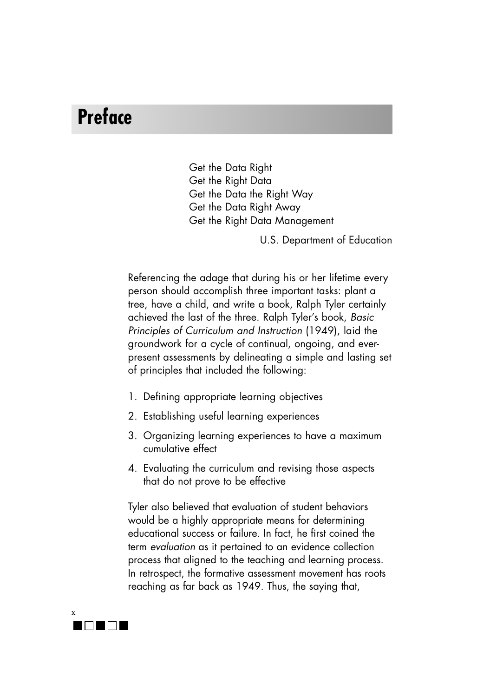## **Preface**

Get the Data Right Get the Right Data Get the Data the Right Way Get the Data Right Away Get the Right Data Management

U.S. Department of Education

Referencing the adage that during his or her lifetime every person should accomplish three important tasks: plant a tree, have a child, and write a book, Ralph Tyler certainly achieved the last of the three. Ralph Tyler's book, *Basic Principles of Curriculum and Instruction* (1949), laid the groundwork for a cycle of continual, ongoing, and everpresent assessments by delineating a simple and lasting set of principles that included the following:

- 1. Defining appropriate learning objectives
- 2. Establishing useful learning experiences
- 3. Organizing learning experiences to have a maximum cumulative effect
- 4. Evaluating the curriculum and revising those aspects that do not prove to be effective

Tyler also believed that evaluation of student behaviors would be a highly appropriate means for determining educational success or failure. In fact, he first coined the term *evaluation* as it pertained to an evidence collection process that aligned to the teaching and learning process. In retrospect, the formative assessment movement has roots reaching as far back as 1949. Thus, the saying that,